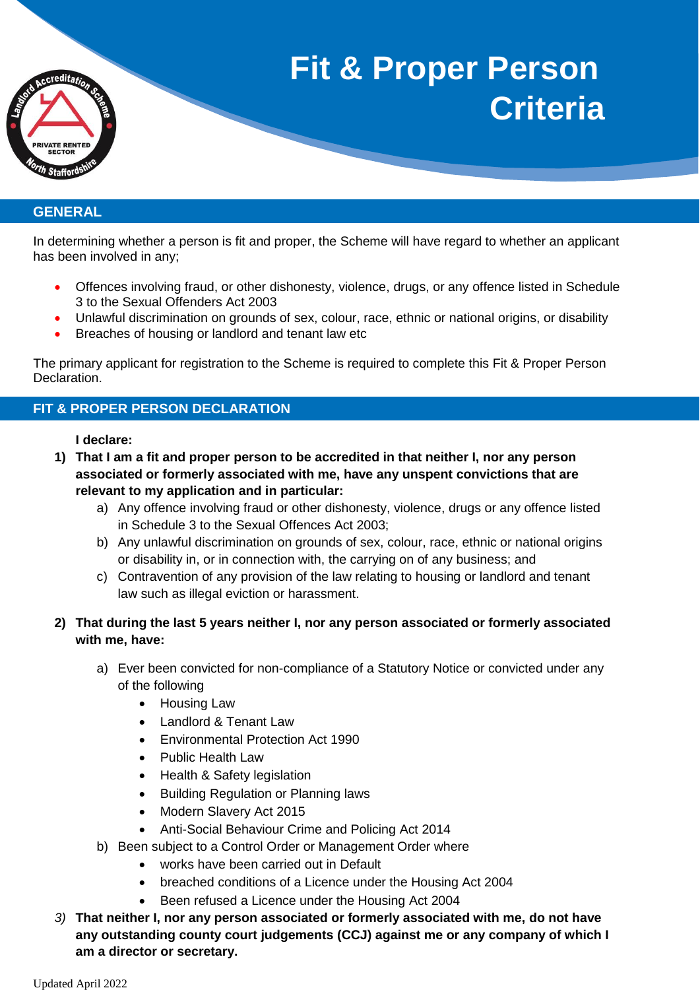

## **GENERAL**

In determining whether a person is fit and proper, the Scheme will have regard to whether an applicant has been involved in any;

- Offences involving fraud, or other dishonesty, violence, drugs, or any offence listed in Schedule 3 to the Sexual Offenders Act 2003
- Unlawful discrimination on grounds of sex, colour, race, ethnic or national origins, or disability
- Breaches of housing or landlord and tenant law etc

The primary applicant for registration to the Scheme is required to complete this Fit & Proper Person Declaration.

## **FIT & PROPER PERSON DECLARATION**

## **I declare:**

- **1) That I am a fit and proper person to be accredited in that neither I, nor any person associated or formerly associated with me, have any unspent convictions that are relevant to my application and in particular:**
	- a) Any offence involving fraud or other dishonesty, violence, drugs or any offence listed in Schedule 3 to the Sexual Offences Act 2003;
	- b) Any unlawful discrimination on grounds of sex, colour, race, ethnic or national origins or disability in, or in connection with, the carrying on of any business; and
	- c) Contravention of any provision of the law relating to housing or landlord and tenant law such as illegal eviction or harassment.
- **2) That during the last 5 years neither I, nor any person associated or formerly associated with me, have:**
	- a) Ever been convicted for non-compliance of a Statutory Notice or convicted under any of the following
		- Housing Law
		- Landlord & Tenant Law
		- Environmental Protection Act 1990
		- Public Health Law
		- Health & Safety legislation
		- Building Regulation or Planning laws
		- Modern Slavery Act 2015
		- Anti-Social Behaviour Crime and Policing Act 2014
	- b) Been subject to a Control Order or Management Order where
		- works have been carried out in Default
		- breached conditions of a Licence under the Housing Act 2004
		- Been refused a Licence under the Housing Act 2004
- *3)* **That neither I, nor any person associated or formerly associated with me, do not have any outstanding county court judgements (CCJ) against me or any company of which I am a director or secretary.**